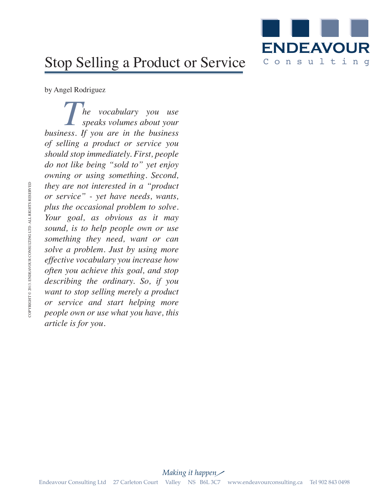

## Stop Selling a Product or Service

by Angel Rodriguez

*The vocabulary you use*<br>*speaks volumes about your speaks volumes about your business. If you are in the business of selling a product or service you should stop immediately. First, people do not like being "sold to" yet enjoy owning or using something. Second, they are not interested in a "product or service" - yet have needs, wants, plus the occasional problem to solve. Your goal, as obvious as it may sound, is to help people own or use something they need, want or can solve a problem. Just by using more effective vocabulary you increase how often you achieve this goal, and stop describing the ordinary. So, if you want to stop selling merely a product or service and start helping more people own or use what you have, this article is for you.*